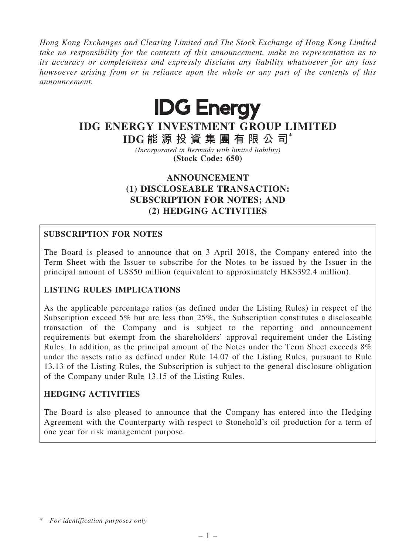Hong Kong Exchanges and Clearing Limited and The Stock Exchange of Hong Kong Limited take no responsibility for the contents of this announcement, make no representation as to its accuracy or completeness and expressly disclaim any liability whatsoever for any loss howsoever arising from or in reliance upon the whole or any part of the contents of this announcement.



# IDG ENERGY INVESTMENT GROUP LIMITED

IDG 能 源 投 資 集 團 有 限 公 司\*

(Incorporated in Bermuda with limited liability) (Stock Code: 650)

## ANNOUNCEMENT (1) DISCLOSEABLE TRANSACTION: SUBSCRIPTION FOR NOTES; AND (2) HEDGING ACTIVITIES

## SUBSCRIPTION FOR NOTES

The Board is pleased to announce that on 3 April 2018, the Company entered into the Term Sheet with the Issuer to subscribe for the Notes to be issued by the Issuer in the principal amount of US\$50 million (equivalent to approximately HK\$392.4 million).

## LISTING RULES IMPLICATIONS

As the applicable percentage ratios (as defined under the Listing Rules) in respect of the Subscription exceed 5% but are less than 25%, the Subscription constitutes a discloseable transaction of the Company and is subject to the reporting and announcement requirements but exempt from the shareholders' approval requirement under the Listing Rules. In addition, as the principal amount of the Notes under the Term Sheet exceeds 8% under the assets ratio as defined under Rule 14.07 of the Listing Rules, pursuant to Rule 13.13 of the Listing Rules, the Subscription is subject to the general disclosure obligation of the Company under Rule 13.15 of the Listing Rules.

## HEDGING ACTIVITIES

The Board is also pleased to announce that the Company has entered into the Hedging Agreement with the Counterparty with respect to Stonehold's oil production for a term of one year for risk management purpose.

<sup>\*</sup> For identification purposes only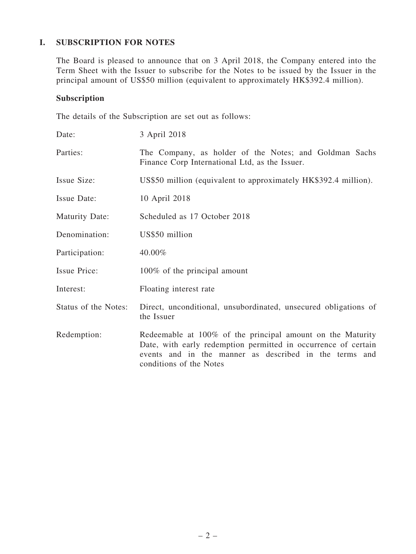## I. SUBSCRIPTION FOR NOTES

The Board is pleased to announce that on 3 April 2018, the Company entered into the Term Sheet with the Issuer to subscribe for the Notes to be issued by the Issuer in the principal amount of US\$50 million (equivalent to approximately HK\$392.4 million).

## Subscription

The details of the Subscription are set out as follows:

| Date:                 | 3 April 2018                                                                                                                                                                                                      |
|-----------------------|-------------------------------------------------------------------------------------------------------------------------------------------------------------------------------------------------------------------|
| Parties:              | The Company, as holder of the Notes; and Goldman Sachs<br>Finance Corp International Ltd, as the Issuer.                                                                                                          |
| Issue Size:           | US\$50 million (equivalent to approximately HK\$392.4 million).                                                                                                                                                   |
| Issue Date:           | 10 April 2018                                                                                                                                                                                                     |
| <b>Maturity Date:</b> | Scheduled as 17 October 2018                                                                                                                                                                                      |
| Denomination:         | US\$50 million                                                                                                                                                                                                    |
| Participation:        | 40.00%                                                                                                                                                                                                            |
| Issue Price:          | 100% of the principal amount                                                                                                                                                                                      |
| Interest:             | Floating interest rate                                                                                                                                                                                            |
| Status of the Notes:  | Direct, unconditional, unsubordinated, unsecured obligations of<br>the Issuer                                                                                                                                     |
| Redemption:           | Redeemable at 100% of the principal amount on the Maturity<br>Date, with early redemption permitted in occurrence of certain<br>events and in the manner as described in the terms and<br>conditions of the Notes |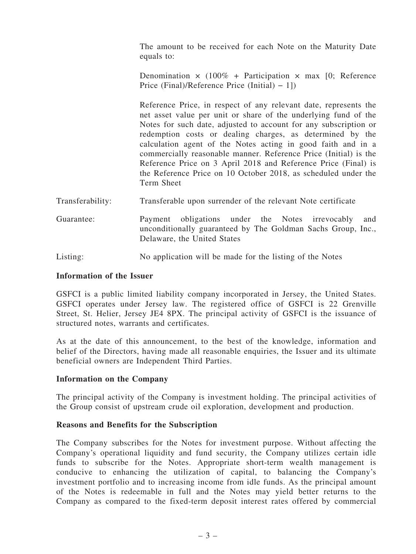The amount to be received for each Note on the Maturity Date equals to:

Denomination  $\times$  (100% + Participation  $\times$  max [0; Reference Price (Final)/Reference Price (Initial) − 1])

Reference Price, in respect of any relevant date, represents the net asset value per unit or share of the underlying fund of the Notes for such date, adjusted to account for any subscription or redemption costs or dealing charges, as determined by the calculation agent of the Notes acting in good faith and in a commercially reasonable manner. Reference Price (Initial) is the Reference Price on 3 April 2018 and Reference Price (Final) is the Reference Price on 10 October 2018, as scheduled under the Term Sheet

- Transferability: Transferable upon surrender of the relevant Note certificate
- Guarantee: Payment obligations under the Notes irrevocably and unconditionally guaranteed by The Goldman Sachs Group, Inc., Delaware, the United States
- Listing: No application will be made for the listing of the Notes

#### Information of the Issuer

GSFCI is a public limited liability company incorporated in Jersey, the United States. GSFCI operates under Jersey law. The registered office of GSFCI is 22 Grenville Street, St. Helier, Jersey JE4 8PX. The principal activity of GSFCI is the issuance of structured notes, warrants and certificates.

As at the date of this announcement, to the best of the knowledge, information and belief of the Directors, having made all reasonable enquiries, the Issuer and its ultimate beneficial owners are Independent Third Parties.

#### Information on the Company

The principal activity of the Company is investment holding. The principal activities of the Group consist of upstream crude oil exploration, development and production.

#### Reasons and Benefits for the Subscription

The Company subscribes for the Notes for investment purpose. Without affecting the Company's operational liquidity and fund security, the Company utilizes certain idle funds to subscribe for the Notes. Appropriate short-term wealth management is conducive to enhancing the utilization of capital, to balancing the Company's investment portfolio and to increasing income from idle funds. As the principal amount of the Notes is redeemable in full and the Notes may yield better returns to the Company as compared to the fixed-term deposit interest rates offered by commercial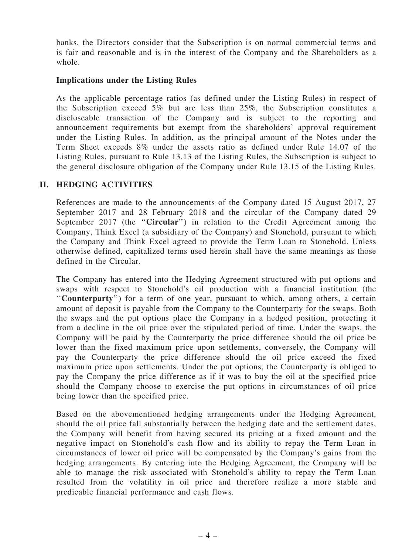banks, the Directors consider that the Subscription is on normal commercial terms and is fair and reasonable and is in the interest of the Company and the Shareholders as a whole.

#### Implications under the Listing Rules

As the applicable percentage ratios (as defined under the Listing Rules) in respect of the Subscription exceed 5% but are less than 25%, the Subscription constitutes a discloseable transaction of the Company and is subject to the reporting and announcement requirements but exempt from the shareholders' approval requirement under the Listing Rules. In addition, as the principal amount of the Notes under the Term Sheet exceeds 8% under the assets ratio as defined under Rule 14.07 of the Listing Rules, pursuant to Rule 13.13 of the Listing Rules, the Subscription is subject to the general disclosure obligation of the Company under Rule 13.15 of the Listing Rules.

## II. HEDGING ACTIVITIES

References are made to the announcements of the Company dated 15 August 2017, 27 September 2017 and 28 February 2018 and the circular of the Company dated 29 September 2017 (the "Circular") in relation to the Credit Agreement among the Company, Think Excel (a subsidiary of the Company) and Stonehold, pursuant to which the Company and Think Excel agreed to provide the Term Loan to Stonehold. Unless otherwise defined, capitalized terms used herein shall have the same meanings as those defined in the Circular.

The Company has entered into the Hedging Agreement structured with put options and swaps with respect to Stonehold's oil production with a financial institution (the "Counterparty") for a term of one year, pursuant to which, among others, a certain amount of deposit is payable from the Company to the Counterparty for the swaps. Both the swaps and the put options place the Company in a hedged position, protecting it from a decline in the oil price over the stipulated period of time. Under the swaps, the Company will be paid by the Counterparty the price difference should the oil price be lower than the fixed maximum price upon settlements, conversely, the Company will pay the Counterparty the price difference should the oil price exceed the fixed maximum price upon settlements. Under the put options, the Counterparty is obliged to pay the Company the price difference as if it was to buy the oil at the specified price should the Company choose to exercise the put options in circumstances of oil price being lower than the specified price.

Based on the abovementioned hedging arrangements under the Hedging Agreement, should the oil price fall substantially between the hedging date and the settlement dates, the Company will benefit from having secured its pricing at a fixed amount and the negative impact on Stonehold's cash flow and its ability to repay the Term Loan in circumstances of lower oil price will be compensated by the Company's gains from the hedging arrangements. By entering into the Hedging Agreement, the Company will be able to manage the risk associated with Stonehold's ability to repay the Term Loan resulted from the volatility in oil price and therefore realize a more stable and predicable financial performance and cash flows.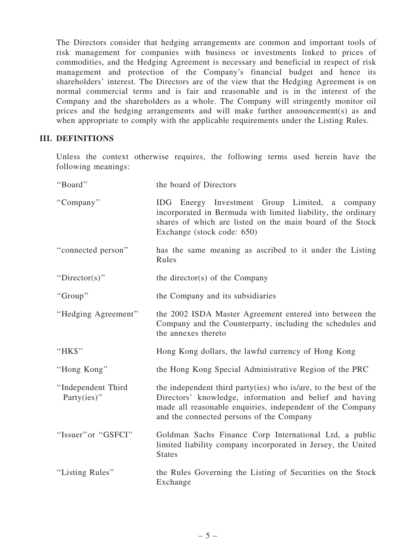The Directors consider that hedging arrangements are common and important tools of risk management for companies with business or investments linked to prices of commodities, and the Hedging Agreement is necessary and beneficial in respect of risk management and protection of the Company's financial budget and hence its shareholders' interest. The Directors are of the view that the Hedging Agreement is on normal commercial terms and is fair and reasonable and is in the interest of the Company and the shareholders as a whole. The Company will stringently monitor oil prices and the hedging arrangements and will make further announcement(s) as and when appropriate to comply with the applicable requirements under the Listing Rules.

#### III. DEFINITIONS

Unless the context otherwise requires, the following terms used herein have the following meanings:

| "Board"                               | the board of Directors                                                                                                                                                                                                              |
|---------------------------------------|-------------------------------------------------------------------------------------------------------------------------------------------------------------------------------------------------------------------------------------|
| "Company"                             | IDG Energy Investment Group Limited, a company<br>incorporated in Bermuda with limited liability, the ordinary<br>shares of which are listed on the main board of the Stock<br>Exchange (stock code: 650)                           |
| "connected person"                    | has the same meaning as ascribed to it under the Listing<br>Rules                                                                                                                                                                   |
| "Director(s)"                         | the director(s) of the Company                                                                                                                                                                                                      |
| "Group"                               | the Company and its subsidiaries                                                                                                                                                                                                    |
| "Hedging Agreement"                   | the 2002 ISDA Master Agreement entered into between the<br>Company and the Counterparty, including the schedules and<br>the annexes thereto                                                                                         |
| "HK\$"                                | Hong Kong dollars, the lawful currency of Hong Kong                                                                                                                                                                                 |
| "Hong Kong"                           | the Hong Kong Special Administrative Region of the PRC                                                                                                                                                                              |
| "Independent Third<br>Party $(ies)$ " | the independent third party(ies) who is/are, to the best of the<br>Directors' knowledge, information and belief and having<br>made all reasonable enquiries, independent of the Company<br>and the connected persons of the Company |
| "Issuer" or "GSFCI"                   | Goldman Sachs Finance Corp International Ltd, a public<br>limited liability company incorporated in Jersey, the United<br><b>States</b>                                                                                             |
| "Listing Rules"                       | the Rules Governing the Listing of Securities on the Stock<br>Exchange                                                                                                                                                              |